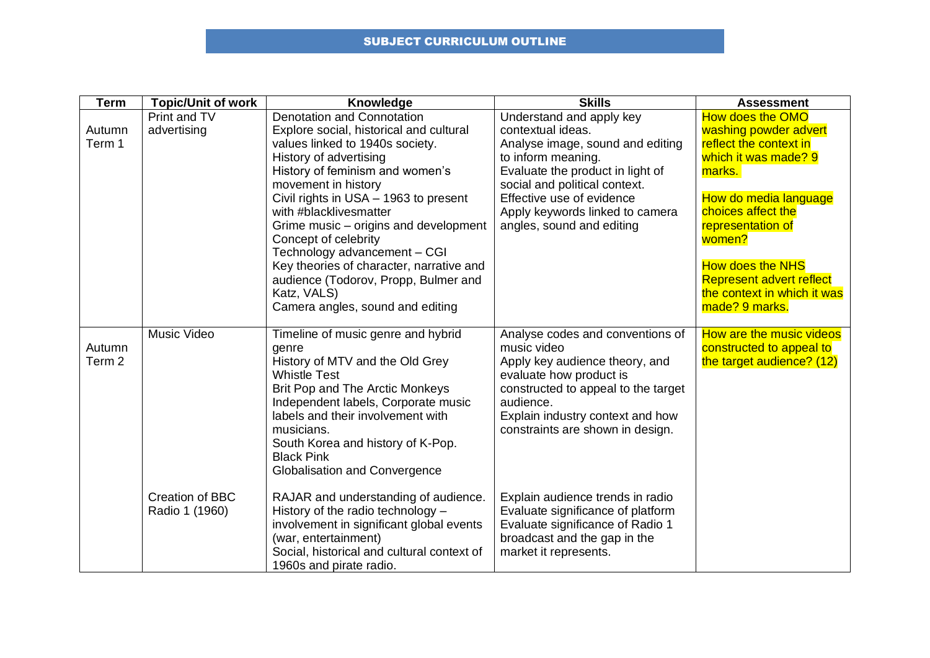## SUBJECT CURRICULUM OUTLINE

| <b>Term</b>                 | <b>Topic/Unit of work</b>      | Knowledge                                                                                                                                                                                                                                                                                                                                                                                                                                                                                                      | <b>Skills</b>                                                                                                                                                                                                                                                                | <b>Assessment</b>                                                                                                                                                                                                                                                                                  |
|-----------------------------|--------------------------------|----------------------------------------------------------------------------------------------------------------------------------------------------------------------------------------------------------------------------------------------------------------------------------------------------------------------------------------------------------------------------------------------------------------------------------------------------------------------------------------------------------------|------------------------------------------------------------------------------------------------------------------------------------------------------------------------------------------------------------------------------------------------------------------------------|----------------------------------------------------------------------------------------------------------------------------------------------------------------------------------------------------------------------------------------------------------------------------------------------------|
| Autumn<br>Term 1            | Print and TV<br>advertising    | <b>Denotation and Connotation</b><br>Explore social, historical and cultural<br>values linked to 1940s society.<br>History of advertising<br>History of feminism and women's<br>movement in history<br>Civil rights in USA - 1963 to present<br>with #blacklivesmatter<br>Grime music – origins and development<br>Concept of celebrity<br>Technology advancement - CGI<br>Key theories of character, narrative and<br>audience (Todorov, Propp, Bulmer and<br>Katz, VALS)<br>Camera angles, sound and editing | Understand and apply key<br>contextual ideas.<br>Analyse image, sound and editing<br>to inform meaning.<br>Evaluate the product in light of<br>social and political context.<br>Effective use of evidence<br>Apply keywords linked to camera<br>angles, sound and editing    | <b>How does the OMO</b><br>washing powder advert<br>reflect the context in<br>which it was made? 9<br>marks.<br>How do media language<br>choices affect the<br>representation of<br>women?<br><b>How does the NHS</b><br>Represent advert reflect<br>the context in which it was<br>made? 9 marks. |
| Autumn<br>Term <sub>2</sub> | Music Video<br>Creation of BBC | Timeline of music genre and hybrid<br>genre<br>History of MTV and the Old Grey<br><b>Whistle Test</b><br>Brit Pop and The Arctic Monkeys<br>Independent labels, Corporate music<br>labels and their involvement with<br>musicians.<br>South Korea and history of K-Pop.<br><b>Black Pink</b><br><b>Globalisation and Convergence</b><br>RAJAR and understanding of audience.                                                                                                                                   | Analyse codes and conventions of<br>music video<br>Apply key audience theory, and<br>evaluate how product is<br>constructed to appeal to the target<br>audience.<br>Explain industry context and how<br>constraints are shown in design.<br>Explain audience trends in radio | How are the music videos<br>constructed to appeal to<br>the target audience? (12)                                                                                                                                                                                                                  |
|                             | Radio 1 (1960)                 | History of the radio technology -<br>involvement in significant global events<br>(war, entertainment)<br>Social, historical and cultural context of<br>1960s and pirate radio.                                                                                                                                                                                                                                                                                                                                 | Evaluate significance of platform<br>Evaluate significance of Radio 1<br>broadcast and the gap in the<br>market it represents.                                                                                                                                               |                                                                                                                                                                                                                                                                                                    |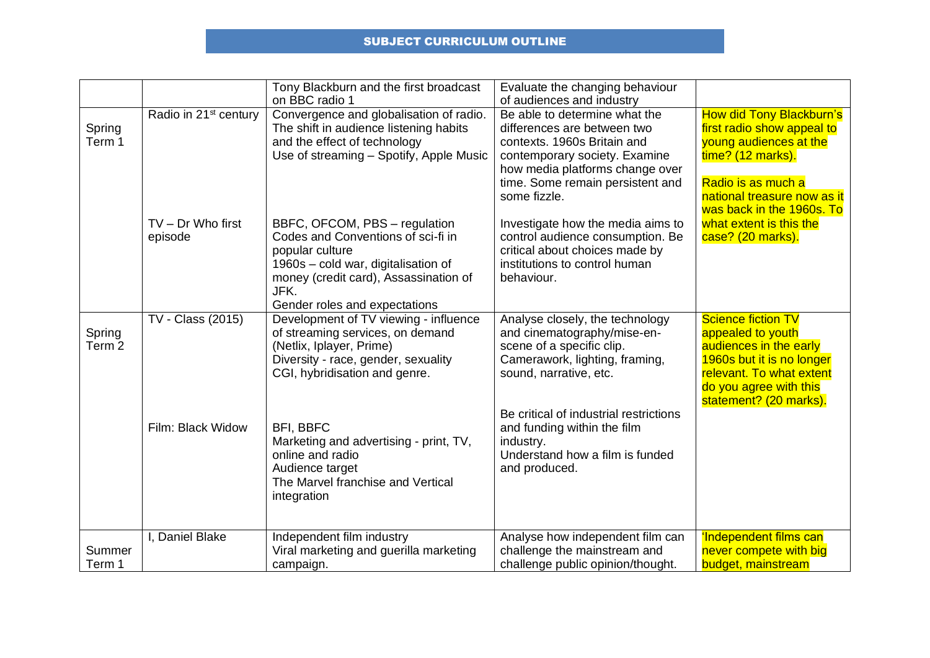## SUBJECT CURRICULUM OUTLINE

|                             |                                   | Tony Blackburn and the first broadcast<br>on BBC radio 1                                                                                                                                                        | Evaluate the changing behaviour<br>of audiences and industry                                                                                                                                                        |                                                                                                                                                                                                |
|-----------------------------|-----------------------------------|-----------------------------------------------------------------------------------------------------------------------------------------------------------------------------------------------------------------|---------------------------------------------------------------------------------------------------------------------------------------------------------------------------------------------------------------------|------------------------------------------------------------------------------------------------------------------------------------------------------------------------------------------------|
| Spring<br>Term 1            | Radio in 21 <sup>st</sup> century | Convergence and globalisation of radio.<br>The shift in audience listening habits<br>and the effect of technology<br>Use of streaming - Spotify, Apple Music                                                    | Be able to determine what the<br>differences are between two<br>contexts. 1960s Britain and<br>contemporary society. Examine<br>how media platforms change over<br>time. Some remain persistent and<br>some fizzle. | <b>How did Tony Blackburn's</b><br>first radio show appeal to<br>young audiences at the<br>time? (12 marks).<br>Radio is as much a<br>national treasure now as it<br>was back in the 1960s. To |
|                             | $TV - Dr$ Who first<br>episode    | BBFC, OFCOM, PBS - regulation<br>Codes and Conventions of sci-fi in<br>popular culture<br>1960s - cold war, digitalisation of<br>money (credit card), Assassination of<br>JFK.<br>Gender roles and expectations | Investigate how the media aims to<br>control audience consumption. Be<br>critical about choices made by<br>institutions to control human<br>behaviour.                                                              | what extent is this the<br>case? (20 marks).                                                                                                                                                   |
| Spring<br>Term <sub>2</sub> | TV - Class (2015)                 | Development of TV viewing - influence<br>of streaming services, on demand<br>(Netlix, Iplayer, Prime)<br>Diversity - race, gender, sexuality<br>CGI, hybridisation and genre.                                   | Analyse closely, the technology<br>and cinematography/mise-en-<br>scene of a specific clip.<br>Camerawork, lighting, framing,<br>sound, narrative, etc.                                                             | <b>Science fiction TV</b><br>appealed to youth<br>audiences in the early<br>1960s but it is no longer<br>relevant. To what extent<br>do you agree with this<br>statement? (20 marks).          |
|                             | Film: Black Widow                 | <b>BFI, BBFC</b><br>Marketing and advertising - print, TV,<br>online and radio<br>Audience target<br>The Marvel franchise and Vertical<br>integration                                                           | Be critical of industrial restrictions<br>and funding within the film<br>industry.<br>Understand how a film is funded<br>and produced.                                                                              |                                                                                                                                                                                                |
| Summer<br>Term 1            | I, Daniel Blake                   | Independent film industry<br>Viral marketing and guerilla marketing<br>campaign.                                                                                                                                | Analyse how independent film can<br>challenge the mainstream and<br>challenge public opinion/thought.                                                                                                               | 'Independent films can<br>never compete with big<br>budget, mainstream                                                                                                                         |